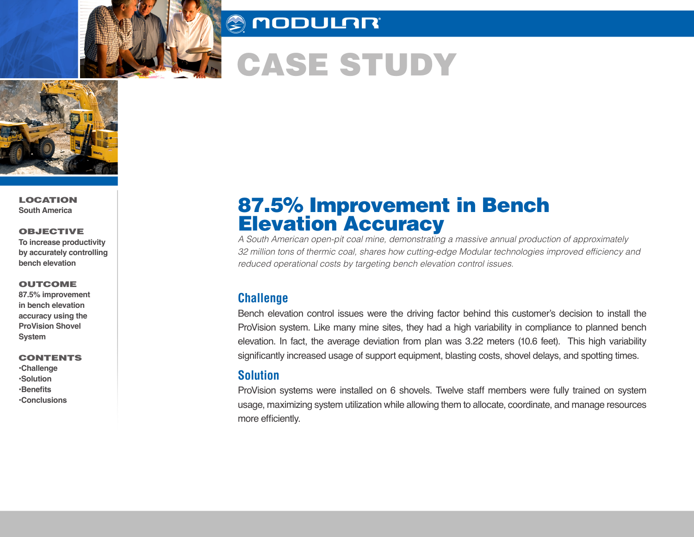

## **SUODULAR**

# CASE STUDY



LOCATION **South America** 

#### OBJECTIVE

**To increase productivity by accurately controlling bench elevation** 

#### **OUTCOME**

**87.5% improvement in bench elevation accuracy using the ProVision Shovel System**

#### CONTENTS

**•Challenge •Solution •Benefits •Conclusions**

# 87.5% Improvement in Bench Elevation Accuracy

*A South American open-pit coal mine, demonstrating a massive annual production of approximately*  32 million tons of thermic coal, shares how cutting-edge Modular technologies improved efficiency and *reduced operational costs by targeting bench elevation control issues.*

#### **Challenge**

Bench elevation control issues were the driving factor behind this customer's decision to install the ProVision system. Like many mine sites, they had a high variability in compliance to planned bench elevation. In fact, the average deviation from plan was 3.22 meters (10.6 feet). This high variability significantly increased usage of support equipment, blasting costs, shovel delays, and spotting times.

#### **Solution**

ProVision systems were installed on 6 shovels. Twelve staff members were fully trained on system usage, maximizing system utilization while allowing them to allocate, coordinate, and manage resources more efficiently.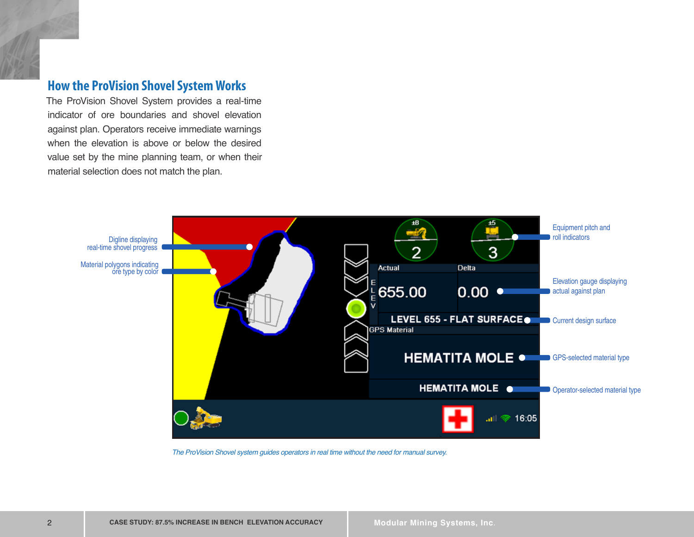#### **How the ProVision Shovel System Works**

The ProVision Shovel System provides a real-time indicator of ore boundaries and shovel elevation against plan. Operators receive immediate warnings when the elevation is above or below the desired value set by the mine planning team, or when their material selection does not match the plan.



*The ProVision Shovel system guides operators in real time without the need for manual survey.*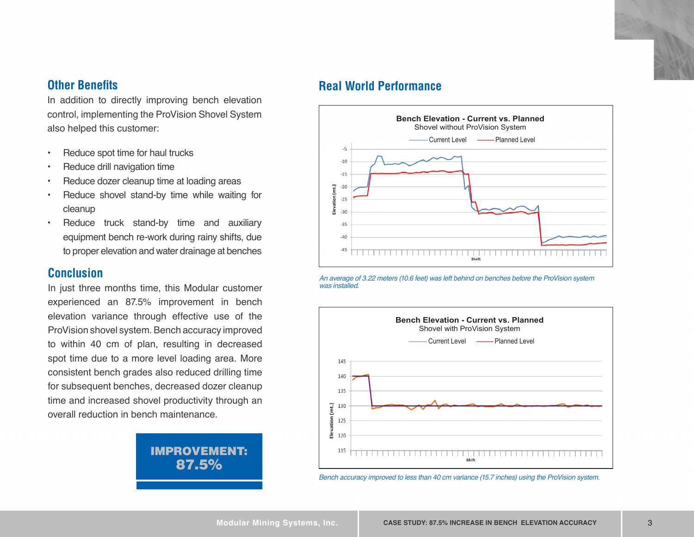In addition to directly improving bench elevation control, implementing the ProVision Shovel System also helped this customer:

- Reduce spot time for haul trucks
- Reduce drill navigation time
- Reduce dozer cleanup time at loading areas
- Reduce shovel stand-by time while waiting for cleanup
- Reduce truck stand-by time and auxiliary equipment bench re-work during rainy shifts, due to proper elevation and water drainage at benches

#### **Conclusion**

In just three months time, this Modular customer experienced an 87.5% improvement in bench elevation variance through effective use of the ProVision shovel system. Bench accuracy improved to within 40 cm of plan, resulting in decreased spot time due to a more level loading area. More consistent bench grades also reduced drilling time for subsequent benches, decreased dozer cleanup time and increased shovel productivity through an overall reduction in bench maintenance.



### **Other Benefits Contract Contract Contract Contract Contract Contract Contract Contract Contract Contract Contract Contract Contract Contract Contract Contract Contract Contract Contract Contract Contract Contract Contra**



*An average of 3.22 meters (10.6 feet) was left behind on benches before the ProVision system was installed.*



*Bench accuracy improved to less than 40 cm variance (15.7 inches) using the ProVision system.*